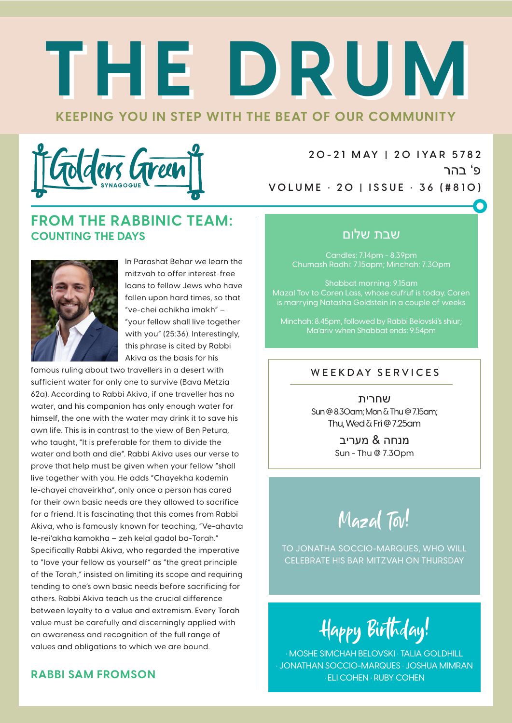# **KEEPING YOU IN STEP WITH THE BEAT OF OUR COMMUNITY THE DRUM THE DRUM**



**2 0 - 2 1 M AY | 2 0 I YA R 5 78 2** פ' בהר **VOLUME • 20 | ISSUE • 36 (#810)**

#### **FROM THE RABBINIC TEAM: COUNTING THE DAYS**



In Parashat Behar we learn the mitzvah to offer interest-free loans to fellow Jews who have fallen upon hard times, so that "ve-chei achikha imakh" – "your fellow shall live together with you" (25:36). Interestingly, this phrase is cited by Rabbi Akiva as the basis for his

famous ruling about two travellers in a desert with sufficient water for only one to survive (Bava Metzia 62a). According to Rabbi Akiva, if one traveller has no water, and his companion has only enough water for himself, the one with the water may drink it to save his own life. This is in contrast to the view of Ben Petura, who taught, "It is preferable for them to divide the water and both and die". Rabbi Akiva uses our verse to prove that help must be given when your fellow "shall live together with you. He adds "Chayekha kodemin le-chayei chaveirkha", only once a person has cared for their own basic needs are they allowed to sacrifice for a friend. It is fascinating that this comes from Rabbi Akiva, who is famously known for teaching, "Ve-ahavta le-rei'akha kamokha – zeh kelal gadol ba-Torah." Specifically Rabbi Akiva, who regarded the imperative to "love your fellow as yourself" as "the great principle of the Torah," insisted on limiting its scope and requiring tending to one's own basic needs before sacrificing for others. Rabbi Akiva teach us the crucial difference between loyalty to a value and extremism. Every Torah value must be carefully and discerningly applied with an awareness and recognition of the full range of values and obligations to which we are bound.

#### **RABBI SAM FROMSON**

#### שבת שלום

Candles: 7.14pm - 8.39pm Chumash Radhi: 7.15apm; Minchah: 7.30pm

Shabbat morning: 9.15am Mazal Tov to Coren Lass, whose aufruf is today. Coren is marrying Natasha Goldstein in a couple of weeks

Minchah: 8.45pm, followed by Rabbi Belovski's shiur; Ma'ariv when Shabbat ends: 9.54pm

#### WEEKDAY SERVICES

שחרית Sun @ 8.30am; Mon & Thu @ 7.15am; Thu, Wed & Fri @ 7.25am

> מנחה & מעריב Sun - Thu @ 7.30pm

Mazal Tov!

TO JONATHA SOCCIO-MARQUES, WHO WILL CELEBRATE HIS BAR MITZVAH ON THURSDAY

Happy Birthday!

• MOSHE SIMCHAH BELOVSKI • TALIA GOLDHILL • JONATHAN SOCCIO-MARQUES • JOSHUA MIMRAN • ELI COHEN • RUBY COHEN